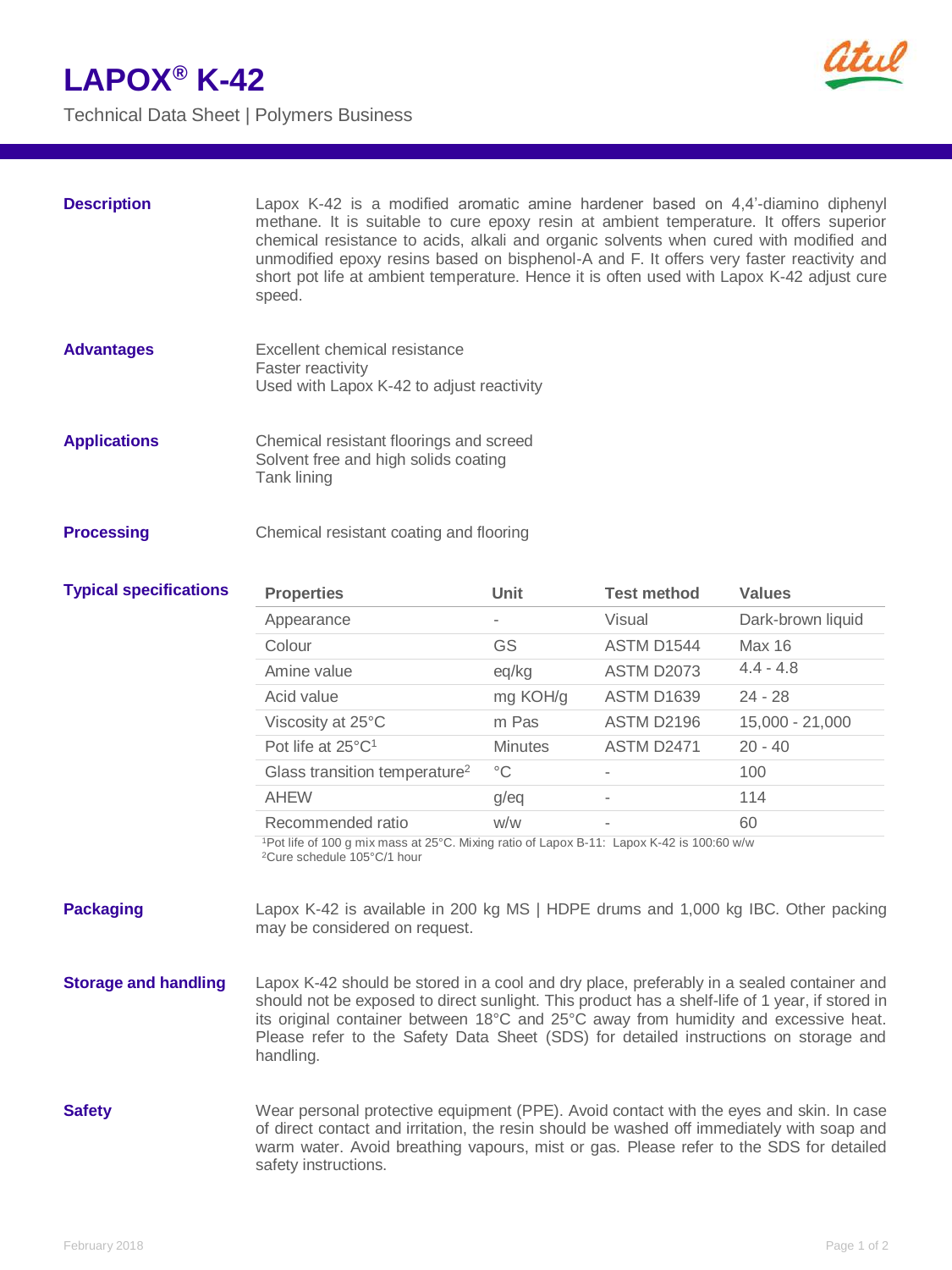## **LAPOX® K-42**

Technical Data Sheet | Polymers Business



| <b>Description</b>            | Lapox K-42 is a modified aromatic amine hardener based on 4,4'-diamino diphenyl<br>methane. It is suitable to cure epoxy resin at ambient temperature. It offers superior<br>chemical resistance to acids, alkali and organic solvents when cured with modified and<br>unmodified epoxy resins based on bisphenol-A and F. It offers very faster reactivity and<br>short pot life at ambient temperature. Hence it is often used with Lapox K-42 adjust cure<br>speed. |                |                    |                   |
|-------------------------------|------------------------------------------------------------------------------------------------------------------------------------------------------------------------------------------------------------------------------------------------------------------------------------------------------------------------------------------------------------------------------------------------------------------------------------------------------------------------|----------------|--------------------|-------------------|
| <b>Advantages</b>             | Excellent chemical resistance<br>Faster reactivity<br>Used with Lapox K-42 to adjust reactivity                                                                                                                                                                                                                                                                                                                                                                        |                |                    |                   |
| <b>Applications</b>           | Chemical resistant floorings and screed<br>Solvent free and high solids coating<br>Tank lining                                                                                                                                                                                                                                                                                                                                                                         |                |                    |                   |
| <b>Processing</b>             | Chemical resistant coating and flooring                                                                                                                                                                                                                                                                                                                                                                                                                                |                |                    |                   |
| <b>Typical specifications</b> | <b>Properties</b>                                                                                                                                                                                                                                                                                                                                                                                                                                                      | Unit           | <b>Test method</b> | <b>Values</b>     |
|                               |                                                                                                                                                                                                                                                                                                                                                                                                                                                                        |                |                    |                   |
|                               | Appearance                                                                                                                                                                                                                                                                                                                                                                                                                                                             |                | Visual             | Dark-brown liquid |
|                               | Colour                                                                                                                                                                                                                                                                                                                                                                                                                                                                 | GS             | ASTM D1544         | Max 16            |
|                               | Amine value                                                                                                                                                                                                                                                                                                                                                                                                                                                            | eq/kg          | <b>ASTM D2073</b>  | $4.4 - 4.8$       |
|                               | Acid value                                                                                                                                                                                                                                                                                                                                                                                                                                                             | mg KOH/g       | <b>ASTM D1639</b>  | $24 - 28$         |
|                               | Viscosity at 25°C                                                                                                                                                                                                                                                                                                                                                                                                                                                      | m Pas          | ASTM D2196         | 15,000 - 21,000   |
|                               | Pot life at $25^{\circ}C^1$                                                                                                                                                                                                                                                                                                                                                                                                                                            | <b>Minutes</b> | <b>ASTM D2471</b>  | $20 - 40$         |
|                               | Glass transition temperature <sup>2</sup>                                                                                                                                                                                                                                                                                                                                                                                                                              | $^{\circ}C$    |                    | 100               |
|                               | <b>AHEW</b>                                                                                                                                                                                                                                                                                                                                                                                                                                                            | g/eq           |                    | 114               |
|                               | Recommended ratio                                                                                                                                                                                                                                                                                                                                                                                                                                                      | W/W            |                    | 60                |
|                               | <sup>1</sup> Pot life of 100 g mix mass at 25°C. Mixing ratio of Lapox B-11: Lapox K-42 is 100:60 w/w<br><sup>2</sup> Cure schedule 105°C/1 hour                                                                                                                                                                                                                                                                                                                       |                |                    |                   |

- **Storage and handling** Lapox K-42 should be stored in a cool and dry place, preferably in a sealed container and should not be exposed to direct sunlight. This product has a shelf-life of 1 year, if stored in its original container between 18°C and 25°C away from humidity and excessive heat. Please refer to the Safety Data Sheet (SDS) for detailed instructions on storage and handling.
- **Safety** Wear personal protective equipment (PPE). Avoid contact with the eyes and skin. In case of direct contact and irritation, the resin should be washed off immediately with soap and warm water. Avoid breathing vapours, mist or gas. Please refer to the SDS for detailed safety instructions.